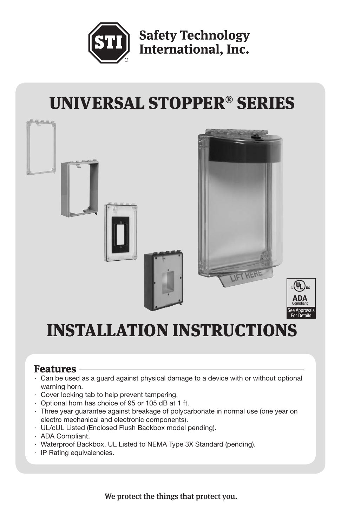

**Safety Technology** International, Inc.

# UNIVERSAL STOPPER® SERIES



# **INSTALLATION INSTRUCTIONS**

### Features

- · Can be used as a guard against physical damage to a device with or without optional warning horn.
- · Cover locking tab to help prevent tampering.
- · Optional horn has choice of 95 or 105 dB at 1 ft.
- · Three year guarantee against breakage of polycarbonate in normal use (one year on electro mechanical and electronic components).
- · UL/cUL Listed (Enclosed Flush Backbox model pending).
- · ADA Compliant.
- · Waterproof Backbox, UL Listed to NEMA Type 3X Standard (pending).
- · IP Rating equivalencies.

We protect the things that protect you.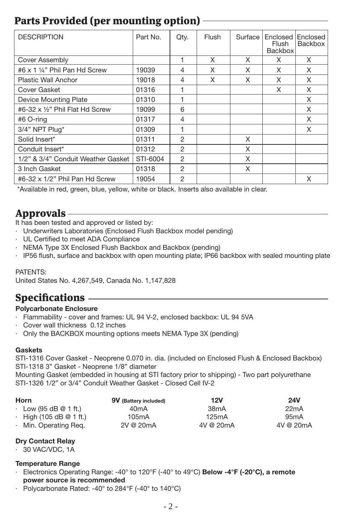# Parts Provided (per mounting option)

| <b>DESCRIPTION</b>                 | Part No. | Qty. | Flush | Surface | Enclosed Enclosed<br>Flush<br><b>Backbox</b> | Backbox |
|------------------------------------|----------|------|-------|---------|----------------------------------------------|---------|
| Cover Assembly                     |          |      | X     | X       | X                                            | X       |
| #6 x 1 1/4" Phil Pan Hd Screw      | 19039    | 4    | X     | X       | X                                            | X       |
| <b>Plastic Wall Anchor</b>         | 19018    | 4    | X     | X       | X                                            | X       |
| Cover Gasket                       | 01316    |      |       |         | X                                            | X       |
| Device Mounting Plate              | 01310    |      |       |         |                                              | X       |
| #6-32 x 1/2" Phil Flat Hd Screw    | 19099    | 6    |       |         |                                              | X       |
| #6 O-ring                          | 01317    | 4    |       |         |                                              | X       |
| 3/4" NPT Plug*                     | 01309    |      |       |         |                                              | X       |
| Solid Insert*                      | 01311    | 2    |       | X       |                                              |         |
| Conduit Insert*                    | 01312    | 2    |       | X       |                                              |         |
| 1/2" & 3/4" Conduit Weather Gasket | STI-6004 | 2    |       | X       |                                              |         |
| 3 Inch Gasket                      | 01318    | 2    |       | X       |                                              |         |
| #6-32 x 1/2" Phil Pan Hd Screw     | 19054    | 2    |       |         |                                              | X       |

\*Available in red, green, blue, yellow, white or black. Inserts also available in clear.

## Approvals

It has been tested and approved or listed by:

- · Underwriters Laboratories (Enclosed Flush Backbox model pending)
- · UL Certified to meet ADA Compliance
- · NEMA Type 3X Enclosed Flush Backbox and Backbox (pending)
- · IP56 flush, surface and backbox with open mounting plate; IP66 backbox with sealed mounting plate

### PATENTS:

United States No. 4,267,549, Canada No. 1,147,828

# **Specifications**

#### **Polycarbonate Enclosure**

- · Flammability cover and frames: UL 94 V-2, enclosed backbox: UL 94 5VA
- Cover wall thickness 0.12 inches
- · Only the BACKBOX mounting options meets NEMA Type 3X (pending)

### **Gaskets**

STI-1316 Cover Gasket - Neoprene 0.070 in. dia. (included on Enclosed Flush & Enclosed Backbox) STI-1318 3" Gasket - Neoprene 1/8" diameter

Mounting Gasket (embedded in housing at STI factory prior to shipping) - Two part polyurethane STI-1326 1/2" or 3/4" Conduit Weather Gasket - Closed Cell IV-2

| Horn |                               | 9V (Battery included) | <b>12V</b>        | <b>24V</b> |  |
|------|-------------------------------|-----------------------|-------------------|------------|--|
|      | $\cdot$ Low (95 dB @ 1 ft.)   | 40 <sub>m</sub> A     | 38 <sub>m</sub> A | 22mA       |  |
|      | $\cdot$ High (105 dB @ 1 ft.) | 105mA                 | 125mA             | 95mA       |  |
|      | · Min. Operating Reg.         | 2V @ 20mA             | 4V @ 20mA         | 4V @ 20mA  |  |

### **Dry Contact Relay**

· 30 VAC/VDC, 1A

#### **Temperature Range**

- · Electronics Operating Range: -40° to 120°F (-40° to 49°C) **Below -4°F (-20°C), a remote power source is recommended**
- · Polycarbonate Rated: -40° to 284°F (-40° to 140°C)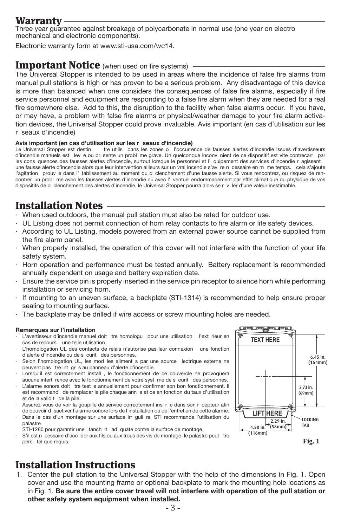### Warranty

Three year guarantee against breakage of polycarbonate in normal use (one year on electro mechanical and electronic components).

Electronic warranty form at www.sti-usa.com/wc14.

### **Important Notice** (when used on fire systems)

The Universal Stopper is intended to be used in areas where the incidence of false fire alarms from manual pull stations is high or has proven to be a serious problem. Any disadvantage of this device is more than balanced when one considers the consequences of false fire alarms, especially if fire service personnel and equipment are responding to a false fire alarm when they are needed for a real fire somewhere else. Add to this, the disruption to the facility when false alarms occur. If you have, or may have, a problem with false fire alarms or physical/weather damage to your fire alarm activation devices, the Universal Stopper could prove invaluable. Avis important (en cas d'utilisation sur les r seaux d'incendie)

# **Avis important (en cas d'utilisation sur les r seaux d'incendie)**<br>Le Universal Stopper est destin tre utilis dans les zones o l'occurre

tre utilis dans les zones o l'occurrence de fausses alertes d'incendie issues d'avertisseurs d'incendie manuels est levé ou présente un problème grave. Un quelconque inconvénient de ce dispositif est vite contrecarré par Les conséquences des fausses alertes d'incendie, surtout lorsque le personnel et l'équipement des services d'incendie réagissent une fausse alerte d'incendie alors que leur intervention ailleurs sur un vrai incendie s'av re n cessaire en m me temps. cela s'ajoute l'agitation prouv e dans l' tablissement au moment du d clenchement d'une fausse alerte. Si vous rencontrez, ou risquez de rencontrer, un probl me avec les fausses alertes d'incendie ou avec l' ventuel endommagement par effet climatique ou physique de vos dispositifs de d clenchement des alertes d'incendie, le Universal Stopper pourra alors se r v ler d'une valeur inestimable.

# Installation Notes

- · When used outdoors, the manual pull station must also be rated for outdoor use.
- · UL Listing does not permit connection of horn relay contacts to fire alarm or life safety devices.
- · According to UL Listing, models powered from an external power source cannot be supplied from the fire alarm panel.
- · When properly installed, the operation of this cover will not interfere with the function of your life safety system.
- · Horn operation and performance must be tested annually. Battery replacement is recommended annually dependent on usage and battery expiration date.
- · Ensure the service pin is properly inserted in the service pin receptor to silence horn while performing installation or servicing horn.
- If mounting to an uneven surface, a backplate (STI-1314) is recommended to help ensure proper sealing to mounting surface.
- The backplate may be drilled if wire access or screw mounting holes are needed.

#### **Remarques sur l'installation**

- L'avertisseur d'incendie manuel doit tre homologu pour une utilisation l'ext rieur en cas de recours une telle utilisation.
- L'homologation UL des contacts de relais n'autorise pas leur connexion une fonction d'alerte d'incendie ou de s curit des personnes.
- Selon l'homologation UL, les mod les aliment s par une source lectrique externe ne peuvent pas tre int gr s au panneau d'alerte d'incendie.
- Lorsqu'il est correctement install, le fonctionnement de ce couvercle ne provoquera aucune interf rence avec le fonctionnement de votre syst me de s curit des personnes.
- L'alarme sonore doit tre test e annuellement pour confirmer son bon fonctionnement. Il est recommand de remplacer la pile chaque ann e et ce en fonction du taux d'utilisation et de la validit de la pile.
- Assurez-vous de voir la goupille de service correctement ins r e dans son r cepteur afin de pouvoir desactiver l'alarme sonore lors de l'installation ou de l'entretien de cette alarme. Dans le cas d'un montage sur une surface irr guli re, STI recommande l'utilisation du palastre
- STI-1280 pour garantir une tanch it ad quate contre la surface de montage.

S'il est nécessaire d'accéder aux fils ou aux trous des vis de montage, le palastre peut étre perc tel que requis.

# Installation Instructions

1. Center the pull station to the Universal Stopper with the help of the dimensions in Fig. 1. Open cover and use the mounting frame or optional backplate to mark the mounting hole locations as in Fig. 1. **Be sure the entire cover travel will not interfere with operation of the pull station or other safety system equipment when installed.** 



**Fig. 1**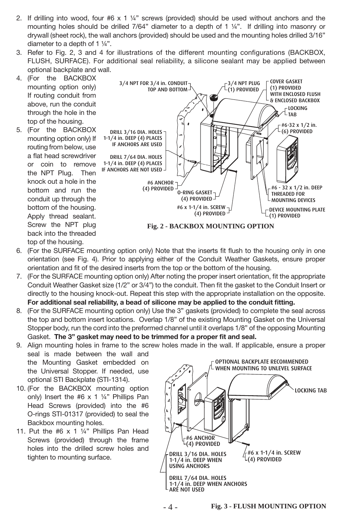- 2. If drilling into wood, four  $#6 \times 1$  ¼" screws (provided) should be used without anchors and the mounting holes should be drilled 7/64" diameter to a depth of 1 1/4". If drilling into masonry or drywall (sheet rock), the wall anchors (provided) should be used and the mounting holes drilled 3/16" diameter to a depth of 1 ¼".
- 3. Refer to Fig. 2, 3 and 4 for illustrations of the different mounting configurations (BACKBOX, FLUSH, SURFACE). For additional seal reliability, a silicone sealant may be applied between optional backplate and wall.
- 4. (For the BACKBOX mounting option only) If routing conduit from above, run the conduit through the hole in the top of the housing.
- 5. (For the BACKBOX mounting option only) If routing from below, use a flat head screwdriver or coin to remove the NPT Plug. Then knock out a hole in the bottom and run the conduit up through the bottom of the housing. Apply thread sealant. Screw the NPT plug back into the threaded top of the housing.



- 6. (For the SURFACE mounting option only) Note that the inserts fit flush to the housing only in one orientation (see Fig. 4). Prior to applying either of the Conduit Weather Gaskets, ensure proper orientation and fit of the desired inserts from the top or the bottom of the housing.
- 7. (For the SURFACE mounting option only) After noting the proper insert orientation, fit the appropriate Conduit Weather Gasket size (1/2" or 3/4") to the conduit. Then fit the gasket to the Conduit Insert or directly to the housing knock-out. Repeat this step with the appropriate installation on the opposite. **For additional seal reliability, a bead of silicone may be applied to the conduit fitting.**
- 8. (For the SURFACE mounting option only) Use the 3" gaskets (provided) to complete the seal across the top and bottom insert locations. Overlap 1/8" of the existing Mounting Gasket on the Universal Stopper body, run the cord into the preformed channel until it overlaps 1/8" of the opposing Mounting Gasket. **The 3" gasket may need to be trimmed for a proper fit and seal.**
- 9. Align mounting holes in frame to the screw holes made in the wall. If applicable, ensure a proper
- seal is made between the wall and the Mounting Gasket embedded on the Universal Stopper. If needed, use optional STI Backplate (STI-1314).
- 10. (For the BACKBOX mounting option only) Insert the #6 x 1 ¼" Phillips Pan Head Screws (provided) into the #6 O-rings STI-01317 (provided) to seal the Backbox mounting holes.
- 11. Put the #6 x 1 ¼" Phillips Pan Head Screws (provided) through the frame holes into the drilled screw holes and tighten to mounting surface.

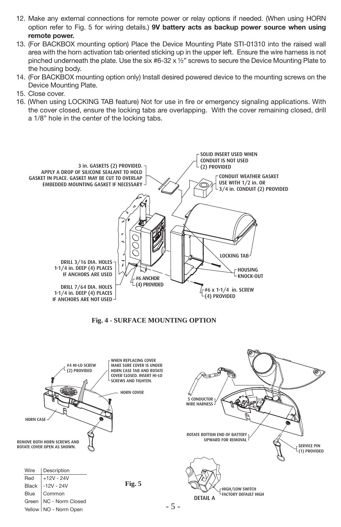- 12. Make any external connections for remote power or relay options if needed. (When using HORN option refer to Fig. 5 for wiring details.) **9V battery acts as backup power source when using remote power.**
- 13. (For BACKBOX mounting option) Place the Device Mounting Plate STI-01310 into the raised wall area with the horn activation tab oriented sticking up in the upper left. Ensure the wire harness is not pinched underneath the plate. Use the six #6-32 x  $\frac{1}{2}$ " screws to secure the Device Mounting Plate to the housing body.
- 14. (For BACKBOX mounting option only) Install desired powered device to the mounting screws on the Device Mounting Plate.
- 15. Close cover.
- 16. (When using LOCKING TAB feature) Not for use in fire or emergency signaling applications. With the cover closed, ensure the locking tabs are overlapping. With the cover remaining closed, drill a 1/8" hole in the center of the locking tabs.





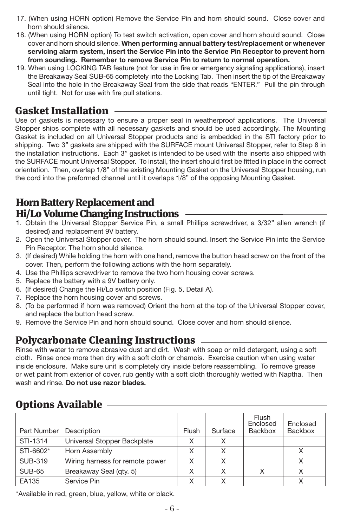- 17. (When using HORN option) Remove the Service Pin and horn should sound. Close cover and horn should silence.
- 18. (When using HORN option) To test switch activation, open cover and horn should sound. Close cover and horn should silence. **When performing annual battery test/replacement or whenever servicing alarm system, insert the Service Pin into the Service Pin Receptor to prevent horn from sounding. Remember to remove Service Pin to return to normal operation.**
- 19. When using LOCKING TAB feature (not for use in fire or emergency signaling applications), insert the Breakaway Seal SUB-65 completely into the Locking Tab. Then insert the tip of the Breakaway Seal into the hole in the Breakaway Seal from the side that reads "ENTER." Pull the pin through until tight. Not for use with fire pull stations.

### Gasket Installation

Use of gaskets is necessary to ensure a proper seal in weatherproof applications. The Universal Stopper ships complete with all necessary gaskets and should be used accordingly. The Mounting Gasket is included on all Universal Stopper products and is embedded in the STI factory prior to shipping. Two 3" gaskets are shipped with the SURFACE mount Universal Stopper, refer to Step 8 in the installation instructions. Each 3" gasket is intended to be used with the inserts also shipped with the SURFACE mount Universal Stopper. To install, the insert should first be fitted in place in the correct orientation. Then, overlap 1/8" of the existing Mounting Gasket on the Universal Stopper housing, run the cord into the preformed channel until it overlaps 1/8" of the opposing Mounting Gasket.

### Horn Battery Replacement and Hi/Lo Volume Changing Instructions

- 1. Obtain the Universal Stopper Service Pin, a small Phillips screwdriver, a 3/32" allen wrench (if desired) and replacement 9V battery.
- 2. Open the Universal Stopper cover. The horn should sound. Insert the Service Pin into the Service Pin Receptor. The horn should silence.
- 3. (If desired) While holding the horn with one hand, remove the button head screw on the front of the cover. Then, perform the following actions with the horn separately.
- 4. Use the Phillips screwdriver to remove the two horn housing cover screws.
- 5. Replace the battery with a 9V battery only.
- 6. (If desired) Change the Hi/Lo switch position (Fig. 5, Detail A).
- 7. Replace the horn housing cover and screws.
- 8. (To be performed if horn was removed) Orient the horn at the top of the Universal Stopper cover, and replace the button head screw.
- 9. Remove the Service Pin and horn should sound. Close cover and horn should silence.

### Polycarbonate Cleaning Instructions

Rinse with water to remove abrasive dust and dirt. Wash with soap or mild detergent, using a soft cloth. Rinse once more then dry with a soft cloth or chamois. Exercise caution when using water inside enclosure. Make sure unit is completely dry inside before reassembling. To remove grease or wet paint from exterior of cover, rub gently with a soft cloth thoroughly wetted with Naptha. Then wash and rinse. **Do not use razor blades.**

# Options Available

| Part Number    | Description                     | Flush | Surface | Flush<br>Enclosed<br>Backbox | Enclosed<br>Backbox |
|----------------|---------------------------------|-------|---------|------------------------------|---------------------|
| STI-1314       | Universal Stopper Backplate     | X     | X       |                              |                     |
| STI-6602*      | Horn Assembly                   | X     | X       |                              | Χ                   |
| <b>SUB-319</b> | Wiring harness for remote power | X     | X       |                              |                     |
| <b>SUB-65</b>  | Breakaway Seal (qty. 5)         | Χ     | X       | x                            | X                   |
| EA135          | Service Pin                     | X     | X       |                              |                     |

\*Available in red, green, blue, yellow, white or black.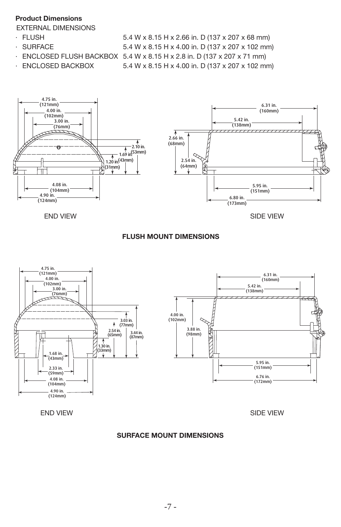#### **Product Dimensions**

#### EXTERNAL DIMENSIONS

- 
- 
- 

· FLUSH 5.4 W x 8.15 H x 2.66 in. D (137 x 207 x 68 mm) · SURFACE 5.4 W x 8.15 H x 4.00 in. D (137 x 207 x 102 mm) · ENCLOSED FLUSH BACKBOX 5.4 W x 8.15 H x 2.8 in. D (137 x 207 x 71 mm) · ENCLOSED BACKBOX 5.4 W x 8.15 H x 4.00 in. D (137 x 207 x 102 mm)





END VIEW SIDE VIEW

### **FLUSH MOUNT DIMENSIONS**



END VIEW

#### **SURFACE MOUNT DIMENSIONS**